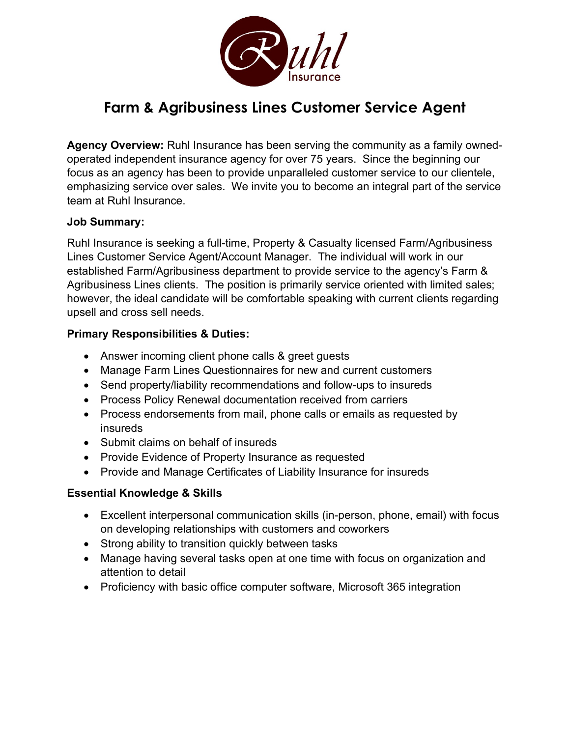

# **Farm & Agribusiness Lines Customer Service Agent**

**Agency Overview:** Ruhl Insurance has been serving the community as a family ownedoperated independent insurance agency for over 75 years. Since the beginning our focus as an agency has been to provide unparalleled customer service to our clientele, emphasizing service over sales. We invite you to become an integral part of the service team at Ruhl Insurance.

#### **Job Summary:**

Ruhl Insurance is seeking a full-time, Property & Casualty licensed Farm/Agribusiness Lines Customer Service Agent/Account Manager. The individual will work in our established Farm/Agribusiness department to provide service to the agency's Farm & Agribusiness Lines clients. The position is primarily service oriented with limited sales; however, the ideal candidate will be comfortable speaking with current clients regarding upsell and cross sell needs.

### **Primary Responsibilities & Duties:**

- Answer incoming client phone calls & greet guests
- Manage Farm Lines Questionnaires for new and current customers
- Send property/liability recommendations and follow-ups to insureds
- Process Policy Renewal documentation received from carriers
- Process endorsements from mail, phone calls or emails as requested by insureds
- Submit claims on behalf of insureds
- Provide Evidence of Property Insurance as requested
- Provide and Manage Certificates of Liability Insurance for insureds

### **Essential Knowledge & Skills**

- Excellent interpersonal communication skills (in-person, phone, email) with focus on developing relationships with customers and coworkers
- Strong ability to transition quickly between tasks
- Manage having several tasks open at one time with focus on organization and attention to detail
- Proficiency with basic office computer software, Microsoft 365 integration